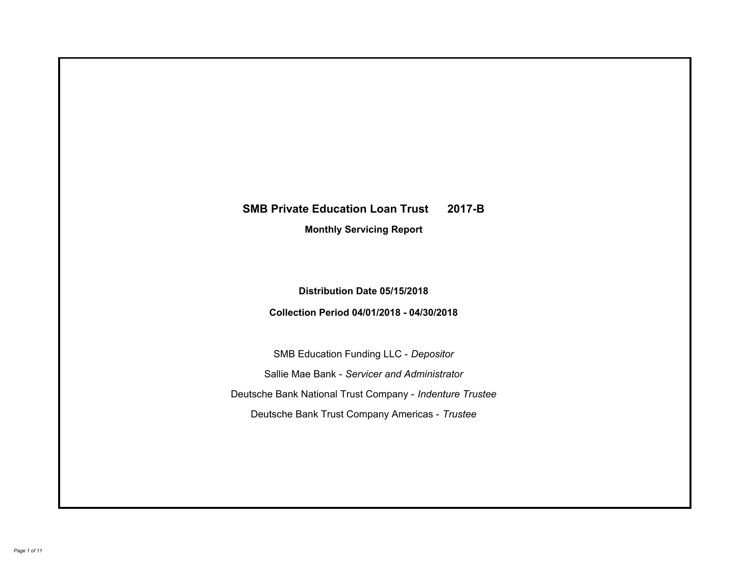# **SMB Private Education Loan Trust 2017-B Monthly Servicing Report**

## **Distribution Date 05/15/2018**

# **Collection Period 04/01/2018 - 04/30/2018**

SMB Education Funding LLC - *Depositor* Sallie Mae Bank - *Servicer and Administrator* Deutsche Bank National Trust Company - *Indenture Trustee* Deutsche Bank Trust Company Americas - *Trustee*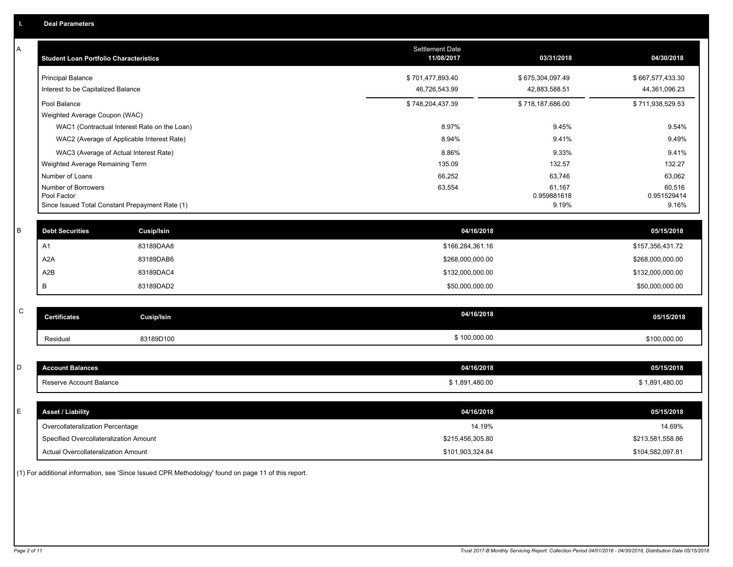| А           | <b>Student Loan Portfolio Characteristics</b>                  |                                              | <b>Settlement Date</b><br>11/08/2017 | 03/31/2018           | 04/30/2018           |
|-------------|----------------------------------------------------------------|----------------------------------------------|--------------------------------------|----------------------|----------------------|
|             | <b>Principal Balance</b>                                       |                                              | \$701,477,893.40                     | \$675,304,097.49     | \$667,577,433.30     |
|             | Interest to be Capitalized Balance                             |                                              | 46,726,543.99                        | 42,883,588.51        | 44,361,096.23        |
|             | Pool Balance                                                   |                                              | \$748,204,437.39                     | \$718,187,686.00     | \$711,938,529.53     |
|             | Weighted Average Coupon (WAC)                                  |                                              |                                      |                      |                      |
|             |                                                                | WAC1 (Contractual Interest Rate on the Loan) | 8.97%                                | 9.45%                | 9.54%                |
|             | WAC2 (Average of Applicable Interest Rate)                     |                                              | 8.94%                                | 9.41%                | 9.49%                |
|             | WAC3 (Average of Actual Interest Rate)                         |                                              | 8.86%                                | 9.33%                | 9.41%                |
|             | Weighted Average Remaining Term                                |                                              | 135.09                               | 132.57               | 132.27               |
|             | Number of Loans                                                |                                              | 66,252                               | 63,746               | 63,062               |
|             | Number of Borrowers                                            |                                              | 63,554                               | 61,167               | 60,516               |
|             | Pool Factor<br>Since Issued Total Constant Prepayment Rate (1) |                                              |                                      | 0.959881618<br>9.19% | 0.951529414<br>9.16% |
|             |                                                                |                                              |                                      |                      |                      |
| В           | <b>Debt Securities</b>                                         | <b>Cusip/Isin</b>                            | 04/16/2018                           |                      | 05/15/2018           |
|             | A1                                                             | 83189DAA8                                    | \$166,284,361.16                     |                      | \$157,356,431.72     |
|             | A2A                                                            | 83189DAB6                                    | \$268,000,000.00                     |                      | \$268,000,000.00     |
|             | A2B                                                            | 83189DAC4                                    | \$132,000,000.00                     |                      | \$132,000,000.00     |
|             | B                                                              | 83189DAD2                                    | \$50,000,000.00                      |                      | \$50,000,000.00      |
|             |                                                                |                                              |                                      |                      |                      |
| $\mathbf C$ | <b>Certificates</b>                                            | <b>Cusip/Isin</b>                            | 04/16/2018                           |                      | 05/15/2018           |
|             | Residual                                                       | 83189D100                                    | \$100,000.00                         |                      | \$100,000.00         |
|             |                                                                |                                              |                                      |                      |                      |
| D           | <b>Account Balances</b>                                        |                                              | 04/16/2018                           |                      | 05/15/2018           |
|             | Reserve Account Balance                                        |                                              | \$1,891,480.00                       |                      | \$1,891,480.00       |
|             |                                                                |                                              |                                      |                      |                      |
| E           | <b>Asset / Liability</b>                                       |                                              | 04/16/2018                           |                      | 05/15/2018           |
|             | Overcollateralization Percentage                               |                                              | 14.19%                               |                      | 14.69%               |
|             | Specified Overcollateralization Amount                         |                                              | \$215,456,305.80                     |                      | \$213,581,558.86     |
|             | <b>Actual Overcollateralization Amount</b>                     |                                              | \$101,903,324.84                     |                      | \$104,582,097.81     |
|             |                                                                |                                              |                                      |                      |                      |

(1) For additional information, see 'Since Issued CPR Methodology' found on page 11 of this report.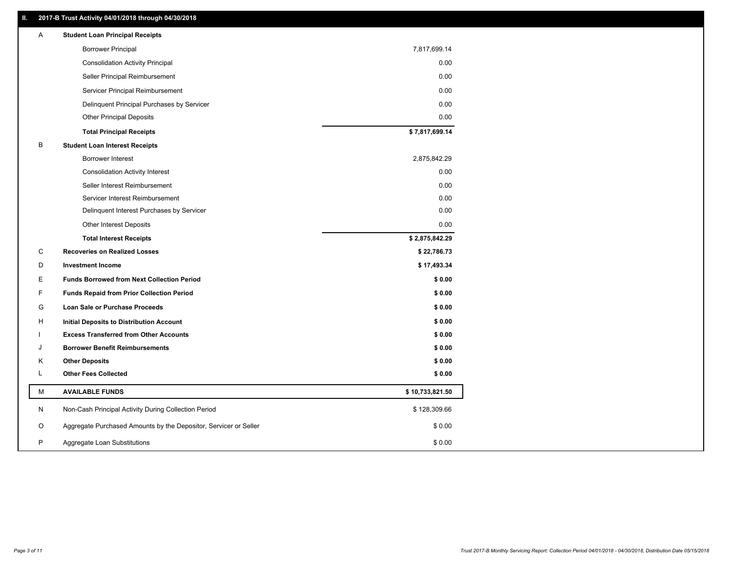### **II. 2017-B Trust Activity 04/01/2018 through 04/30/2018**

| Α  | <b>Student Loan Principal Receipts</b>                           |                 |  |
|----|------------------------------------------------------------------|-----------------|--|
|    | <b>Borrower Principal</b>                                        | 7,817,699.14    |  |
|    | <b>Consolidation Activity Principal</b>                          | 0.00            |  |
|    | Seller Principal Reimbursement                                   | 0.00            |  |
|    | Servicer Principal Reimbursement                                 | 0.00            |  |
|    | Delinquent Principal Purchases by Servicer                       | 0.00            |  |
|    | <b>Other Principal Deposits</b>                                  | 0.00            |  |
|    | <b>Total Principal Receipts</b>                                  | \$7,817,699.14  |  |
| B  | <b>Student Loan Interest Receipts</b>                            |                 |  |
|    | <b>Borrower Interest</b>                                         | 2,875,842.29    |  |
|    | <b>Consolidation Activity Interest</b>                           | 0.00            |  |
|    | Seller Interest Reimbursement                                    | 0.00            |  |
|    | Servicer Interest Reimbursement                                  | 0.00            |  |
|    | Delinquent Interest Purchases by Servicer                        | 0.00            |  |
|    | Other Interest Deposits                                          | 0.00            |  |
|    | <b>Total Interest Receipts</b>                                   | \$2,875,842.29  |  |
| C  | <b>Recoveries on Realized Losses</b>                             | \$22,786.73     |  |
| D  | <b>Investment Income</b>                                         | \$17,493.34     |  |
| Е  | <b>Funds Borrowed from Next Collection Period</b>                | \$0.00          |  |
| F. | <b>Funds Repaid from Prior Collection Period</b>                 | \$0.00          |  |
| G  | Loan Sale or Purchase Proceeds                                   | \$0.00          |  |
| н  | Initial Deposits to Distribution Account                         | \$0.00          |  |
|    | <b>Excess Transferred from Other Accounts</b>                    | \$0.00          |  |
| J  | <b>Borrower Benefit Reimbursements</b>                           | \$0.00          |  |
| Κ  | <b>Other Deposits</b>                                            | \$0.00          |  |
| Г  | <b>Other Fees Collected</b>                                      | \$0.00          |  |
| м  | <b>AVAILABLE FUNDS</b>                                           | \$10,733,821.50 |  |
| N  | Non-Cash Principal Activity During Collection Period             | \$128,309.66    |  |
| O  | Aggregate Purchased Amounts by the Depositor, Servicer or Seller | \$0.00          |  |
| P  |                                                                  |                 |  |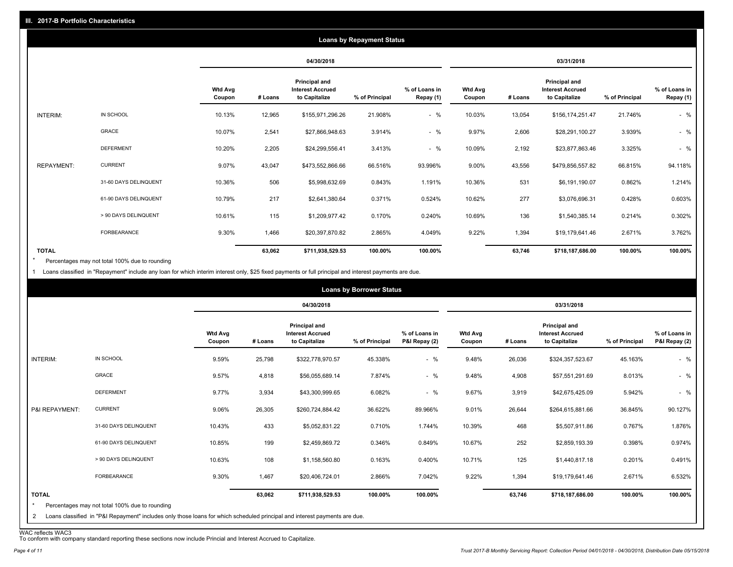|                   |                       |                          |         |                                                           | <b>Loans by Repayment Status</b> |                            |                          |         |                                                           |                |                            |
|-------------------|-----------------------|--------------------------|---------|-----------------------------------------------------------|----------------------------------|----------------------------|--------------------------|---------|-----------------------------------------------------------|----------------|----------------------------|
|                   |                       |                          |         | 04/30/2018                                                |                                  |                            |                          |         | 03/31/2018                                                |                |                            |
|                   |                       | <b>Wtd Avg</b><br>Coupon | # Loans | Principal and<br><b>Interest Accrued</b><br>to Capitalize | % of Principal                   | % of Loans in<br>Repay (1) | <b>Wtd Avg</b><br>Coupon | # Loans | Principal and<br><b>Interest Accrued</b><br>to Capitalize | % of Principal | % of Loans in<br>Repay (1) |
| INTERIM:          | IN SCHOOL             | 10.13%                   | 12,965  | \$155,971,296.26                                          | 21.908%                          | $-$ %                      | 10.03%                   | 13,054  | \$156,174,251.47                                          | 21.746%        | $-$ %                      |
|                   | GRACE                 | 10.07%                   | 2,541   | \$27,866,948.63                                           | 3.914%                           | $-$ %                      | 9.97%                    | 2,606   | \$28,291,100.27                                           | 3.939%         | $-$ %                      |
|                   | <b>DEFERMENT</b>      | 10.20%                   | 2,205   | \$24,299,556.41                                           | 3.413%                           | $-$ %                      | 10.09%                   | 2,192   | \$23,877,863.46                                           | 3.325%         | $-$ %                      |
| <b>REPAYMENT:</b> | <b>CURRENT</b>        | 9.07%                    | 43,047  | \$473,552,866.66                                          | 66.516%                          | 93.996%                    | 9.00%                    | 43,556  | \$479,856,557.82                                          | 66.815%        | 94.118%                    |
|                   | 31-60 DAYS DELINQUENT | 10.36%                   | 506     | \$5,998,632.69                                            | 0.843%                           | 1.191%                     | 10.36%                   | 531     | \$6,191,190.07                                            | 0.862%         | 1.214%                     |
|                   | 61-90 DAYS DELINQUENT | 10.79%                   | 217     | \$2,641,380.64                                            | 0.371%                           | 0.524%                     | 10.62%                   | 277     | \$3,076,696.31                                            | 0.428%         | 0.603%                     |
|                   | > 90 DAYS DELINQUENT  | 10.61%                   | 115     | \$1,209,977.42                                            | 0.170%                           | 0.240%                     | 10.69%                   | 136     | \$1,540,385.14                                            | 0.214%         | 0.302%                     |
|                   | FORBEARANCE           | 9.30%                    | 1,466   | \$20,397,870.82                                           | 2.865%                           | 4.049%                     | 9.22%                    | 1,394   | \$19,179,641.46                                           | 2.671%         | 3.762%                     |
| <b>TOTAL</b>      |                       |                          | 63,062  | \$711,938,529.53                                          | 100.00%                          | 100.00%                    |                          | 63,746  | \$718,187,686.00                                          | 100.00%        | 100.00%                    |

Percentages may not total 100% due to rounding \*

1 Loans classified in "Repayment" include any loan for which interim interest only, \$25 fixed payments or full principal and interest payments are due.

|                         |                                                                                                                            |                          |         |                                                           | <b>Loans by Borrower Status</b> |                                |                          |         |                                                                  |                |                                |
|-------------------------|----------------------------------------------------------------------------------------------------------------------------|--------------------------|---------|-----------------------------------------------------------|---------------------------------|--------------------------------|--------------------------|---------|------------------------------------------------------------------|----------------|--------------------------------|
|                         |                                                                                                                            |                          |         | 04/30/2018                                                |                                 |                                |                          |         | 03/31/2018                                                       |                |                                |
|                         |                                                                                                                            | <b>Wtd Avg</b><br>Coupon | # Loans | Principal and<br><b>Interest Accrued</b><br>to Capitalize | % of Principal                  | % of Loans in<br>P&I Repay (2) | <b>Wtd Avg</b><br>Coupon | # Loans | <b>Principal and</b><br><b>Interest Accrued</b><br>to Capitalize | % of Principal | % of Loans in<br>P&I Repay (2) |
| INTERIM:                | IN SCHOOL                                                                                                                  | 9.59%                    | 25,798  | \$322,778,970.57                                          | 45.338%                         | $-$ %                          | 9.48%                    | 26,036  | \$324,357,523.67                                                 | 45.163%        | $-$ %                          |
|                         | <b>GRACE</b>                                                                                                               | 9.57%                    | 4,818   | \$56,055,689.14                                           | 7.874%                          | $-$ %                          | 9.48%                    | 4,908   | \$57,551,291.69                                                  | 8.013%         | $-$ %                          |
|                         | <b>DEFERMENT</b>                                                                                                           | 9.77%                    | 3,934   | \$43,300,999.65                                           | 6.082%                          | $-$ %                          | 9.67%                    | 3,919   | \$42,675,425.09                                                  | 5.942%         | $-$ %                          |
| P&I REPAYMENT:          | <b>CURRENT</b>                                                                                                             | 9.06%                    | 26,305  | \$260,724,884.42                                          | 36.622%                         | 89.966%                        | 9.01%                    | 26,644  | \$264,615,881.66                                                 | 36.845%        | 90.127%                        |
|                         | 31-60 DAYS DELINQUENT                                                                                                      | 10.43%                   | 433     | \$5,052,831.22                                            | 0.710%                          | 1.744%                         | 10.39%                   | 468     | \$5,507,911.86                                                   | 0.767%         | 1.876%                         |
|                         | 61-90 DAYS DELINQUENT                                                                                                      | 10.85%                   | 199     | \$2,459,869.72                                            | 0.346%                          | 0.849%                         | 10.67%                   | 252     | \$2,859,193.39                                                   | 0.398%         | 0.974%                         |
|                         | > 90 DAYS DELINQUENT                                                                                                       | 10.63%                   | 108     | \$1,158,560.80                                            | 0.163%                          | 0.400%                         | 10.71%                   | 125     | \$1,440,817.18                                                   | 0.201%         | 0.491%                         |
|                         | FORBEARANCE                                                                                                                | 9.30%                    | 1,467   | \$20,406,724.01                                           | 2.866%                          | 7.042%                         | 9.22%                    | 1,394   | \$19,179,641.46                                                  | 2.671%         | 6.532%                         |
| <b>TOTAL</b><br>$\star$ | Percentages may not total 100% due to rounding                                                                             |                          | 63,062  | \$711,938,529.53                                          | 100.00%                         | 100.00%                        |                          | 63,746  | \$718,187,686.00                                                 | 100.00%        | 100.00%                        |
| $\mathbf{2}$            | Loans classified in "P&I Repayment" includes only those loans for which scheduled principal and interest payments are due. |                          |         |                                                           |                                 |                                |                          |         |                                                                  |                |                                |

WAC reflects WAC3 To conform with company standard reporting these sections now include Princial and Interest Accrued to Capitalize.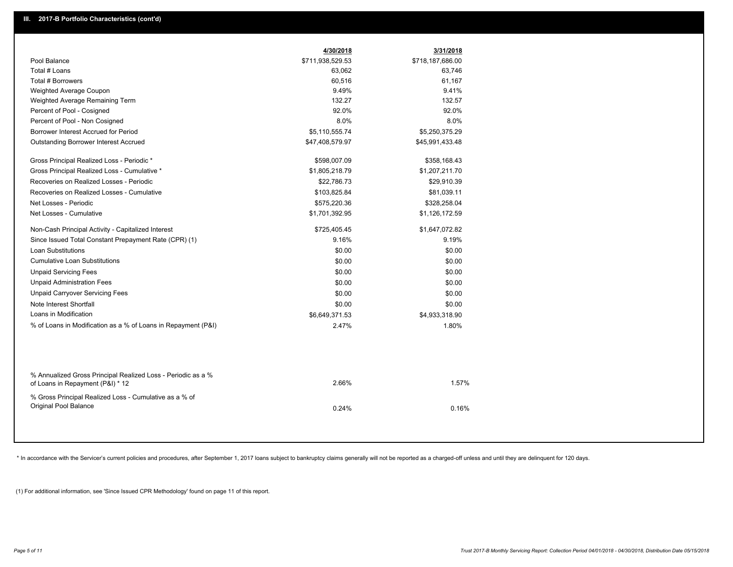|                                                                                                  | 4/30/2018        | 3/31/2018        |  |
|--------------------------------------------------------------------------------------------------|------------------|------------------|--|
| Pool Balance                                                                                     | \$711,938,529.53 | \$718,187,686.00 |  |
| Total # Loans                                                                                    | 63,062           | 63,746           |  |
| Total # Borrowers                                                                                | 60,516           | 61,167           |  |
| Weighted Average Coupon                                                                          | 9.49%            | 9.41%            |  |
| Weighted Average Remaining Term                                                                  | 132.27           | 132.57           |  |
| Percent of Pool - Cosigned                                                                       | 92.0%            | 92.0%            |  |
| Percent of Pool - Non Cosigned                                                                   | 8.0%             | 8.0%             |  |
| Borrower Interest Accrued for Period                                                             | \$5,110,555.74   | \$5,250,375.29   |  |
| Outstanding Borrower Interest Accrued                                                            | \$47,408,579.97  | \$45,991,433.48  |  |
| Gross Principal Realized Loss - Periodic *                                                       | \$598,007.09     | \$358,168.43     |  |
| Gross Principal Realized Loss - Cumulative *                                                     | \$1,805,218.79   | \$1,207,211.70   |  |
| Recoveries on Realized Losses - Periodic                                                         | \$22,786.73      | \$29,910.39      |  |
| Recoveries on Realized Losses - Cumulative                                                       | \$103,825.84     | \$81,039.11      |  |
| Net Losses - Periodic                                                                            | \$575,220.36     | \$328,258.04     |  |
| Net Losses - Cumulative                                                                          | \$1,701,392.95   | \$1,126,172.59   |  |
| Non-Cash Principal Activity - Capitalized Interest                                               | \$725,405.45     | \$1,647,072.82   |  |
| Since Issued Total Constant Prepayment Rate (CPR) (1)                                            | 9.16%            | 9.19%            |  |
| <b>Loan Substitutions</b>                                                                        | \$0.00           | \$0.00           |  |
| <b>Cumulative Loan Substitutions</b>                                                             | \$0.00           | \$0.00           |  |
| <b>Unpaid Servicing Fees</b>                                                                     | \$0.00           | \$0.00           |  |
| <b>Unpaid Administration Fees</b>                                                                | \$0.00           | \$0.00           |  |
| <b>Unpaid Carryover Servicing Fees</b>                                                           | \$0.00           | \$0.00           |  |
| Note Interest Shortfall                                                                          | \$0.00           | \$0.00           |  |
| Loans in Modification                                                                            | \$6,649,371.53   | \$4,933,318.90   |  |
| % of Loans in Modification as a % of Loans in Repayment (P&I)                                    | 2.47%            | 1.80%            |  |
|                                                                                                  |                  |                  |  |
| % Annualized Gross Principal Realized Loss - Periodic as a %<br>of Loans in Repayment (P&I) * 12 | 2.66%            | 1.57%            |  |
| % Gross Principal Realized Loss - Cumulative as a % of<br>Original Pool Balance                  | 0.24%            | 0.16%            |  |
|                                                                                                  |                  |                  |  |

\* In accordance with the Servicer's current policies and procedures, after September 1, 2017 loans subject to bankruptcy claims generally will not be reported as a charged-off unless and until they are delinquent for 120 d

(1) For additional information, see 'Since Issued CPR Methodology' found on page 11 of this report.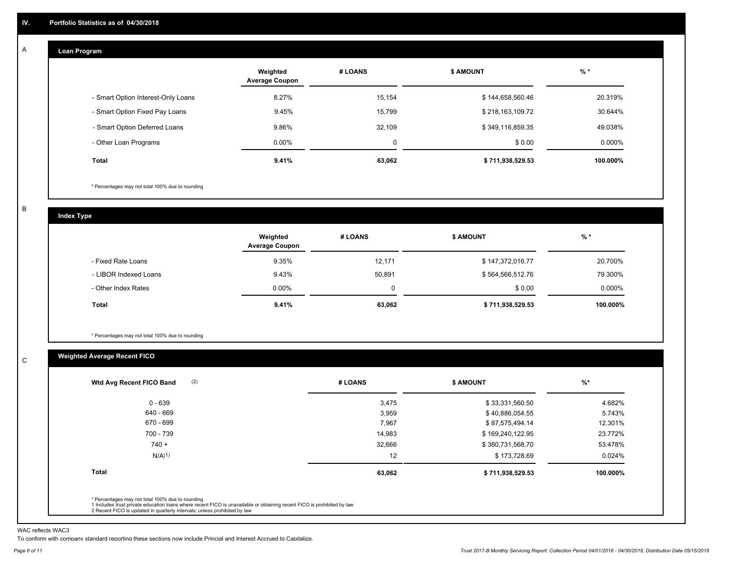#### **Loan Program**  A

|                                    | Weighted<br><b>Average Coupon</b> | # LOANS | <b>S AMOUNT</b>  | $%$ *     |
|------------------------------------|-----------------------------------|---------|------------------|-----------|
| - Smart Option Interest-Only Loans | 8.27%                             | 15,154  | \$144,658,560.46 | 20.319%   |
| - Smart Option Fixed Pay Loans     | 9.45%                             | 15,799  | \$218,163,109.72 | 30.644%   |
| - Smart Option Deferred Loans      | 9.86%                             | 32.109  | \$349,116,859.35 | 49.038%   |
| - Other Loan Programs              | $0.00\%$                          | 0       | \$0.00           | $0.000\%$ |
| Total                              | 9.41%                             | 63,062  | \$711,938,529.53 | 100.000%  |

\* Percentages may not total 100% due to rounding

B

C

**Index Type**

|                       | Weighted<br><b>Average Coupon</b> | # LOANS | <b>\$ AMOUNT</b> | $%$ *     |
|-----------------------|-----------------------------------|---------|------------------|-----------|
| - Fixed Rate Loans    | 9.35%                             | 12.171  | \$147,372,016.77 | 20.700%   |
| - LIBOR Indexed Loans | 9.43%                             | 50.891  | \$564,566,512.76 | 79.300%   |
| - Other Index Rates   | $0.00\%$                          | 0       | \$0.00           | $0.000\%$ |
| Total                 | 9.41%                             | 63,062  | \$711,938,529.53 | 100.000%  |

\* Percentages may not total 100% due to rounding

### **Weighted Average Recent FICO**

| $0 - 639$<br>640 - 669 | 3,475<br>3,959 | \$33,331,560.50  | 4.682%   |
|------------------------|----------------|------------------|----------|
|                        |                |                  |          |
|                        |                | \$40,886,054.55  | 5.743%   |
| 670 - 699              | 7,967          | \$87,575,494.14  | 12.301%  |
| 700 - 739              | 14,983         | \$169,240,122.95 | 23.772%  |
| $740 +$                | 32,666         | \$380,731,568.70 | 53.478%  |
| N/A <sup>(1)</sup>     | 12             | \$173,728.69     | 0.024%   |
| <b>Total</b>           | 63,062         | \$711,938,529.53 | 100.000% |

WAC reflects WAC3

To conform with company standard reporting these sections now include Princial and Interest Accrued to Capitalize.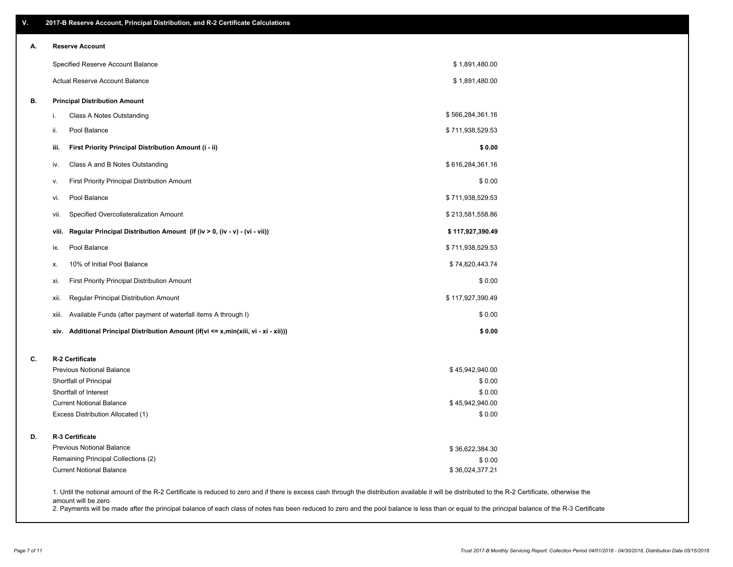| V. | 2017-B Reserve Account, Principal Distribution, and R-2 Certificate Calculations                                                                                                                                          |                  |  |
|----|---------------------------------------------------------------------------------------------------------------------------------------------------------------------------------------------------------------------------|------------------|--|
| А. | <b>Reserve Account</b>                                                                                                                                                                                                    |                  |  |
|    | Specified Reserve Account Balance                                                                                                                                                                                         | \$1,891,480.00   |  |
|    | <b>Actual Reserve Account Balance</b>                                                                                                                                                                                     | \$1,891,480.00   |  |
| В. | <b>Principal Distribution Amount</b>                                                                                                                                                                                      |                  |  |
|    | Class A Notes Outstanding<br>i.                                                                                                                                                                                           | \$566,284,361.16 |  |
|    | Pool Balance<br>ii.                                                                                                                                                                                                       | \$711,938,529.53 |  |
|    | First Priority Principal Distribution Amount (i - ii)<br>iii.                                                                                                                                                             | \$0.00           |  |
|    | Class A and B Notes Outstanding<br>iv.                                                                                                                                                                                    | \$616,284,361.16 |  |
|    | First Priority Principal Distribution Amount<br>v.                                                                                                                                                                        | \$0.00           |  |
|    | Pool Balance<br>vi.                                                                                                                                                                                                       | \$711,938,529.53 |  |
|    | Specified Overcollateralization Amount<br>vii.                                                                                                                                                                            | \$213,581,558.86 |  |
|    | Regular Principal Distribution Amount (if (iv > 0, (iv - v) - (vi - vii))<br>viii.                                                                                                                                        | \$117,927,390.49 |  |
|    | Pool Balance<br>ix.                                                                                                                                                                                                       | \$711,938,529.53 |  |
|    | 10% of Initial Pool Balance<br>х.                                                                                                                                                                                         | \$74,820,443.74  |  |
|    | First Priority Principal Distribution Amount<br>xi.                                                                                                                                                                       | \$0.00           |  |
|    | Regular Principal Distribution Amount<br>xii.                                                                                                                                                                             | \$117,927,390.49 |  |
|    | Available Funds (after payment of waterfall items A through I)<br>xiii.                                                                                                                                                   | \$0.00           |  |
|    | Additional Principal Distribution Amount (if(vi <= x,min(xiii, vi - xi - xii)))<br>xiv.                                                                                                                                   | \$0.00           |  |
| C. | R-2 Certificate                                                                                                                                                                                                           |                  |  |
|    | <b>Previous Notional Balance</b>                                                                                                                                                                                          | \$45,942,940.00  |  |
|    | Shortfall of Principal                                                                                                                                                                                                    | \$0.00           |  |
|    | Shortfall of Interest                                                                                                                                                                                                     | \$0.00           |  |
|    | <b>Current Notional Balance</b>                                                                                                                                                                                           | \$45,942,940.00  |  |
|    | Excess Distribution Allocated (1)                                                                                                                                                                                         | \$0.00           |  |
| D. | R-3 Certificate                                                                                                                                                                                                           |                  |  |
|    | <b>Previous Notional Balance</b>                                                                                                                                                                                          | \$36,622,384.30  |  |
|    | Remaining Principal Collections (2)                                                                                                                                                                                       | \$0.00           |  |
|    | <b>Current Notional Balance</b>                                                                                                                                                                                           | \$36,024,377.21  |  |
|    | 1. Until the notional amount of the R-2 Certificate is reduced to zero and if there is excess cash through the distribution available it will be distributed to the R-2 Certificate, otherwise the<br>amount will be zero |                  |  |

2. Payments will be made after the principal balance of each class of notes has been reduced to zero and the pool balance is less than or equal to the principal balance of the R-3 Certificate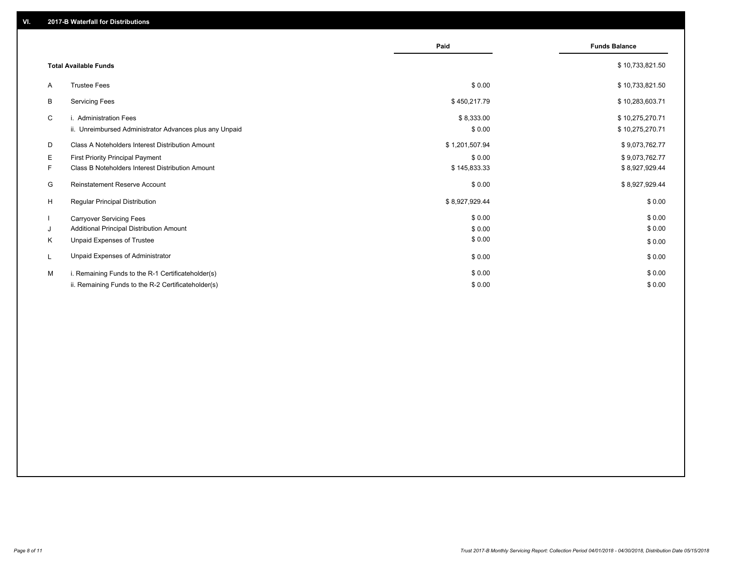|    |                                                         | Paid           | <b>Funds Balance</b> |
|----|---------------------------------------------------------|----------------|----------------------|
|    |                                                         |                |                      |
|    | <b>Total Available Funds</b>                            |                | \$10,733,821.50      |
| A  | <b>Trustee Fees</b>                                     | \$0.00         | \$10,733,821.50      |
| В  | <b>Servicing Fees</b>                                   | \$450,217.79   | \$10,283,603.71      |
| C  | i. Administration Fees                                  | \$8,333.00     | \$10,275,270.71      |
|    | ii. Unreimbursed Administrator Advances plus any Unpaid | \$0.00         | \$10,275,270.71      |
| D  | Class A Noteholders Interest Distribution Amount        | \$1,201,507.94 | \$9,073,762.77       |
| Е  | First Priority Principal Payment                        | \$0.00         | \$9,073,762.77       |
| F. | Class B Noteholders Interest Distribution Amount        | \$145,833.33   | \$8,927,929.44       |
| G  | Reinstatement Reserve Account                           | \$0.00         | \$8,927,929.44       |
| H  | <b>Regular Principal Distribution</b>                   | \$8,927,929.44 | \$0.00               |
|    | <b>Carryover Servicing Fees</b>                         | \$0.00         | \$0.00               |
| J  | Additional Principal Distribution Amount                | \$0.00         | \$0.00               |
| Κ  | Unpaid Expenses of Trustee                              | \$0.00         | \$0.00               |
| L  | Unpaid Expenses of Administrator                        | \$0.00         | \$0.00               |
| M  | i. Remaining Funds to the R-1 Certificateholder(s)      | \$0.00         | \$0.00               |
|    | ii. Remaining Funds to the R-2 Certificateholder(s)     | \$0.00         | \$0.00               |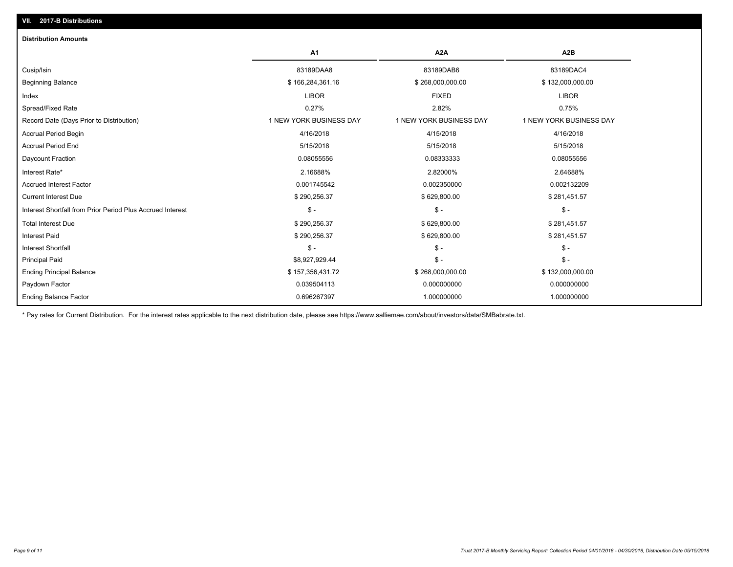| <b>Distribution Amounts</b>                                |                         |                         |                         |
|------------------------------------------------------------|-------------------------|-------------------------|-------------------------|
|                                                            | A <sub>1</sub>          | A <sub>2</sub> A        | A <sub>2</sub> B        |
| Cusip/Isin                                                 | 83189DAA8               | 83189DAB6               | 83189DAC4               |
| <b>Beginning Balance</b>                                   | \$166,284,361.16        | \$268,000,000.00        | \$132,000,000.00        |
| Index                                                      | <b>LIBOR</b>            | <b>FIXED</b>            | <b>LIBOR</b>            |
| Spread/Fixed Rate                                          | 0.27%                   | 2.82%                   | 0.75%                   |
| Record Date (Days Prior to Distribution)                   | 1 NEW YORK BUSINESS DAY | 1 NEW YORK BUSINESS DAY | 1 NEW YORK BUSINESS DAY |
| <b>Accrual Period Begin</b>                                | 4/16/2018               | 4/15/2018               | 4/16/2018               |
| <b>Accrual Period End</b>                                  | 5/15/2018               | 5/15/2018               | 5/15/2018               |
| Daycount Fraction                                          | 0.08055556              | 0.08333333              | 0.08055556              |
| Interest Rate*                                             | 2.16688%                | 2.82000%                | 2.64688%                |
| <b>Accrued Interest Factor</b>                             | 0.001745542             | 0.002350000             | 0.002132209             |
| <b>Current Interest Due</b>                                | \$290,256.37            | \$629,800.00            | \$281,451.57            |
| Interest Shortfall from Prior Period Plus Accrued Interest | $\mathsf{\$}$ -         | $\mathsf{\$}$ -         | $\mathsf{\$}$ -         |
| <b>Total Interest Due</b>                                  | \$290,256.37            | \$629,800.00            | \$281,451.57            |
| <b>Interest Paid</b>                                       | \$290,256.37            | \$629,800.00            | \$281,451.57            |
| <b>Interest Shortfall</b>                                  | $S -$                   | $\frac{2}{3}$ -         | $\mathsf{\$}$ -         |
| <b>Principal Paid</b>                                      | \$8,927,929.44          | $\frac{2}{3}$ -         | $\mathsf{\$}$ -         |
| <b>Ending Principal Balance</b>                            | \$157,356,431.72        | \$268,000,000.00        | \$132,000,000.00        |
| Paydown Factor                                             | 0.039504113             | 0.000000000             | 0.000000000             |
| <b>Ending Balance Factor</b>                               | 0.696267397             | 1.000000000             | 1.000000000             |

\* Pay rates for Current Distribution. For the interest rates applicable to the next distribution date, please see https://www.salliemae.com/about/investors/data/SMBabrate.txt.

**VII. 2017-B Distributions**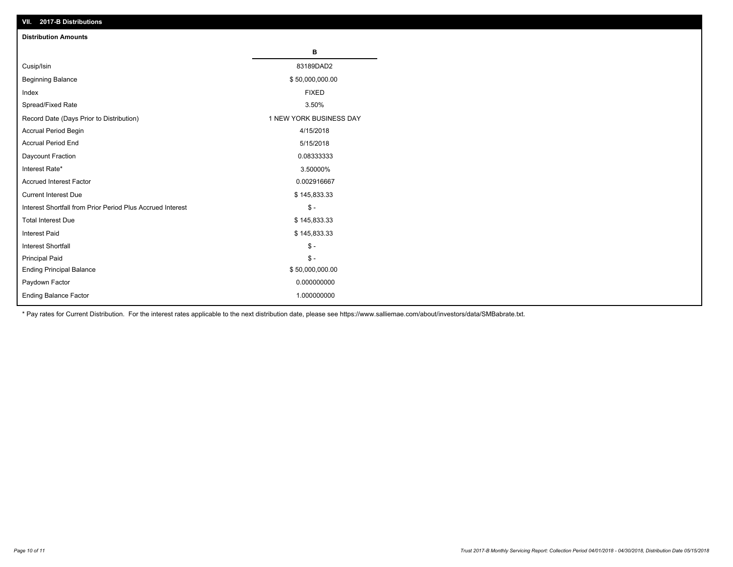| VII. 2017-B Distributions                                  |                         |
|------------------------------------------------------------|-------------------------|
| <b>Distribution Amounts</b>                                |                         |
|                                                            | в                       |
| Cusip/Isin                                                 | 83189DAD2               |
| <b>Beginning Balance</b>                                   | \$50,000,000.00         |
| Index                                                      | <b>FIXED</b>            |
| Spread/Fixed Rate                                          | 3.50%                   |
| Record Date (Days Prior to Distribution)                   | 1 NEW YORK BUSINESS DAY |
| Accrual Period Begin                                       | 4/15/2018               |
| <b>Accrual Period End</b>                                  | 5/15/2018               |
| Daycount Fraction                                          | 0.08333333              |
| Interest Rate*                                             | 3.50000%                |
| <b>Accrued Interest Factor</b>                             | 0.002916667             |
| <b>Current Interest Due</b>                                | \$145,833.33            |
| Interest Shortfall from Prior Period Plus Accrued Interest | $\frac{2}{3}$ -         |
| <b>Total Interest Due</b>                                  | \$145,833.33            |
| <b>Interest Paid</b>                                       | \$145,833.33            |
| <b>Interest Shortfall</b>                                  | $\mathbb{S}$ -          |
| <b>Principal Paid</b>                                      | $\mathbb S$ -           |
| <b>Ending Principal Balance</b>                            | \$50,000,000.00         |
| Paydown Factor                                             | 0.000000000             |
| Ending Balance Factor                                      | 1.000000000             |

\* Pay rates for Current Distribution. For the interest rates applicable to the next distribution date, please see https://www.salliemae.com/about/investors/data/SMBabrate.txt.